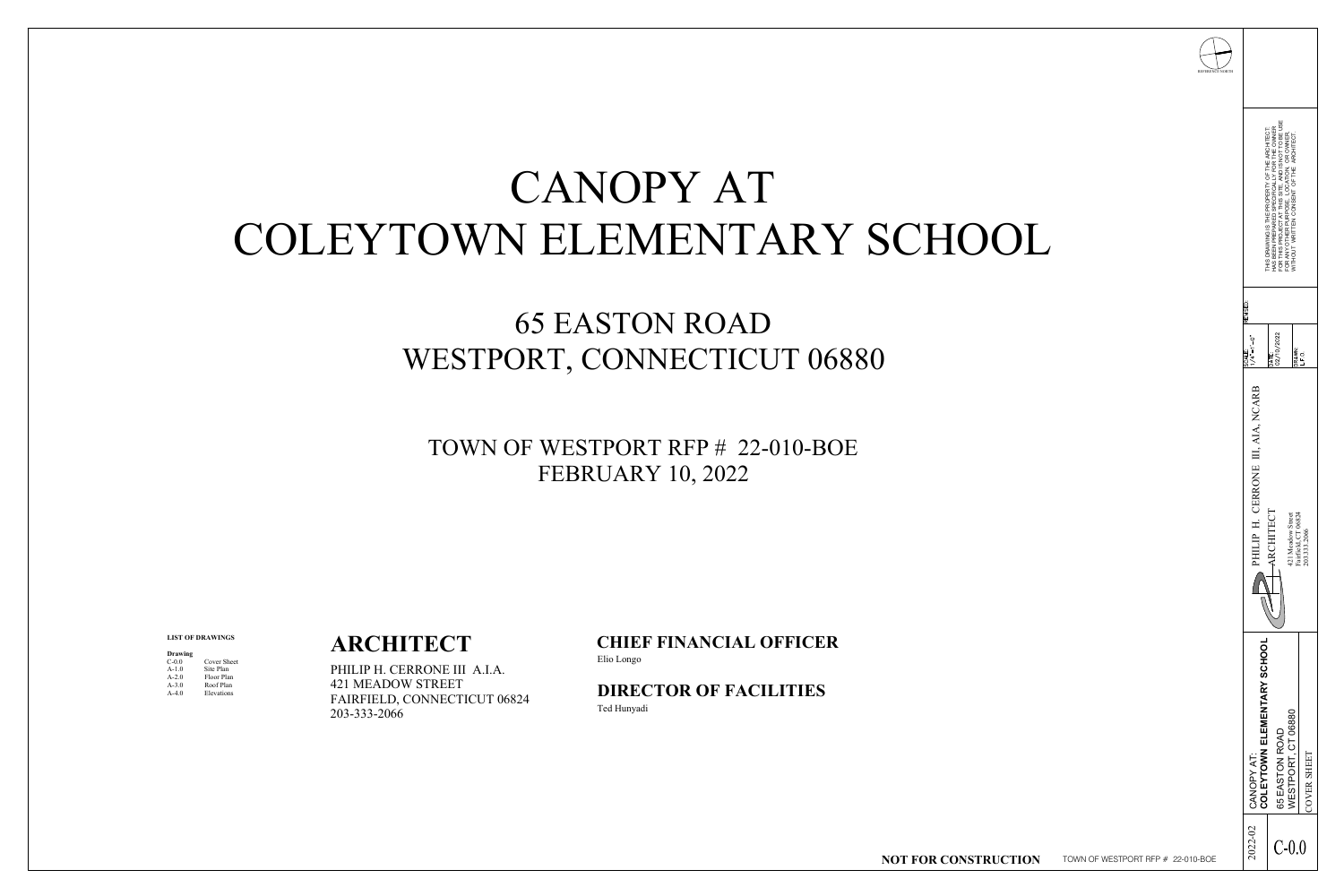# CANOPY AT COLEYTOWN ELEMENTARY SCH

## 65 EASTON ROAD WESTPORT, CONNECTICUT 06880

#### **ARCHITECT**

PHILIP H. CERRONE III A.I.A. 421 MEADOW STREET FAIRFIELD, CONNECTICUT 06824 203-333-2066

#### **LIST OF DRAWINGS**

| <b>Drawing</b> |                    |
|----------------|--------------------|
| $C-0.0$        | <b>Cover Sheet</b> |
| $A-1.0$        | Site Plan          |
| $A - 2.0$      | Floor Plan         |
| $A-3.0$        | Roof Plan          |
| $A-4.0$        | Elevations         |

#### TOWN OF WESTPORT RFP # 22-010-BOE FEBRUARY 10, 2022

**CHIEF FINANCIAL OFFICER** Elio Longo

**DIRECTOR OF FACILITIES** Ted Hunyadi

**NOT FOR CO** 

| THIS DRAWING IS THE PROPERTY OF THE ARCHITECT:<br>HAS BEEN PREPARED SPECIFICALLY FOR THE OWNER<br>FOR THIS PROJECT AT THIS SITE, AND IS NOT TO BE USE<br>FOR ANY OTHER PURPOSE, LOCATION, OR OWNER,<br>WITHOUT WRITTEN CONSENT OF THE ARCH<br>REVISED:<br>$\frac{DATE}{02/10/2022}$<br>ငံ<br>$\begin{array}{c}\n\text{SCALE:} \\ 1/4" = 1' - (\text{Cov} + \text{Cov} + \text{Cov})\n\end{array}$<br>DRAWN:<br>L.F.O.<br>AIA, NCARB<br>$\mathbf{H},$<br>CERRONE<br>ARCHITECT<br>421 Meadow Street<br>Fairfield, CT 06824<br>203.333.2066<br>$\equiv$<br>PHILIP<br>$\Box$<br><b>VIENTARY SCHOOL</b><br>06880<br>ELEN<br>65 EASTON ROAD<br>WESTPORT, CT 06<br>CANOPY AT:<br>COLEYTOWN E<br><b>SHEET</b><br>AT<br>COVER<br>2022-02<br>$C-0.0$<br>TOWN OF WESTPORT RFP # 22-010-BOE | REFERENCE NORTH |  |
|---------------------------------------------------------------------------------------------------------------------------------------------------------------------------------------------------------------------------------------------------------------------------------------------------------------------------------------------------------------------------------------------------------------------------------------------------------------------------------------------------------------------------------------------------------------------------------------------------------------------------------------------------------------------------------------------------------------------------------------------------------------------------------|-----------------|--|
|                                                                                                                                                                                                                                                                                                                                                                                                                                                                                                                                                                                                                                                                                                                                                                                 |                 |  |
|                                                                                                                                                                                                                                                                                                                                                                                                                                                                                                                                                                                                                                                                                                                                                                                 |                 |  |
|                                                                                                                                                                                                                                                                                                                                                                                                                                                                                                                                                                                                                                                                                                                                                                                 |                 |  |
|                                                                                                                                                                                                                                                                                                                                                                                                                                                                                                                                                                                                                                                                                                                                                                                 |                 |  |
|                                                                                                                                                                                                                                                                                                                                                                                                                                                                                                                                                                                                                                                                                                                                                                                 | CONSTRUCTION    |  |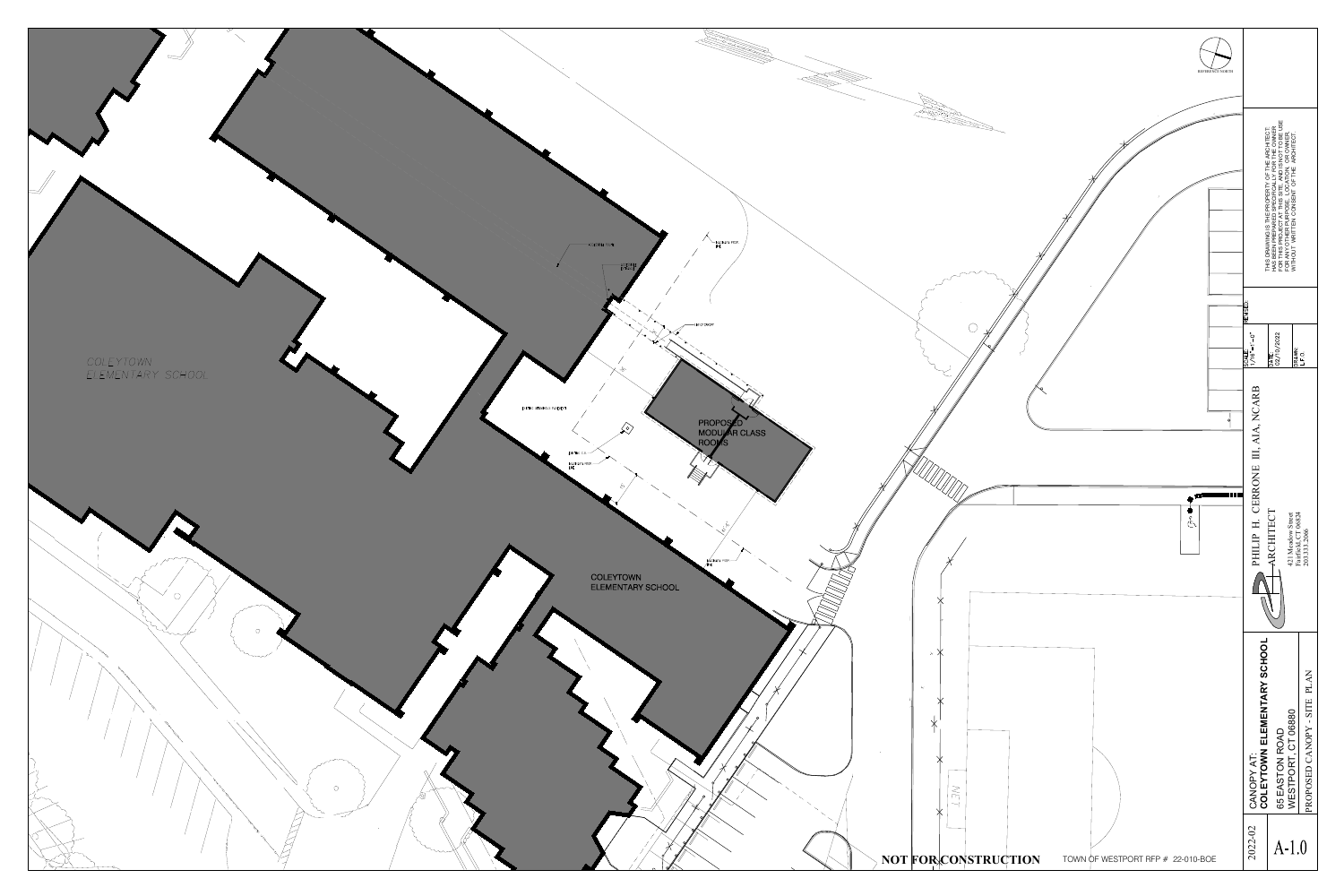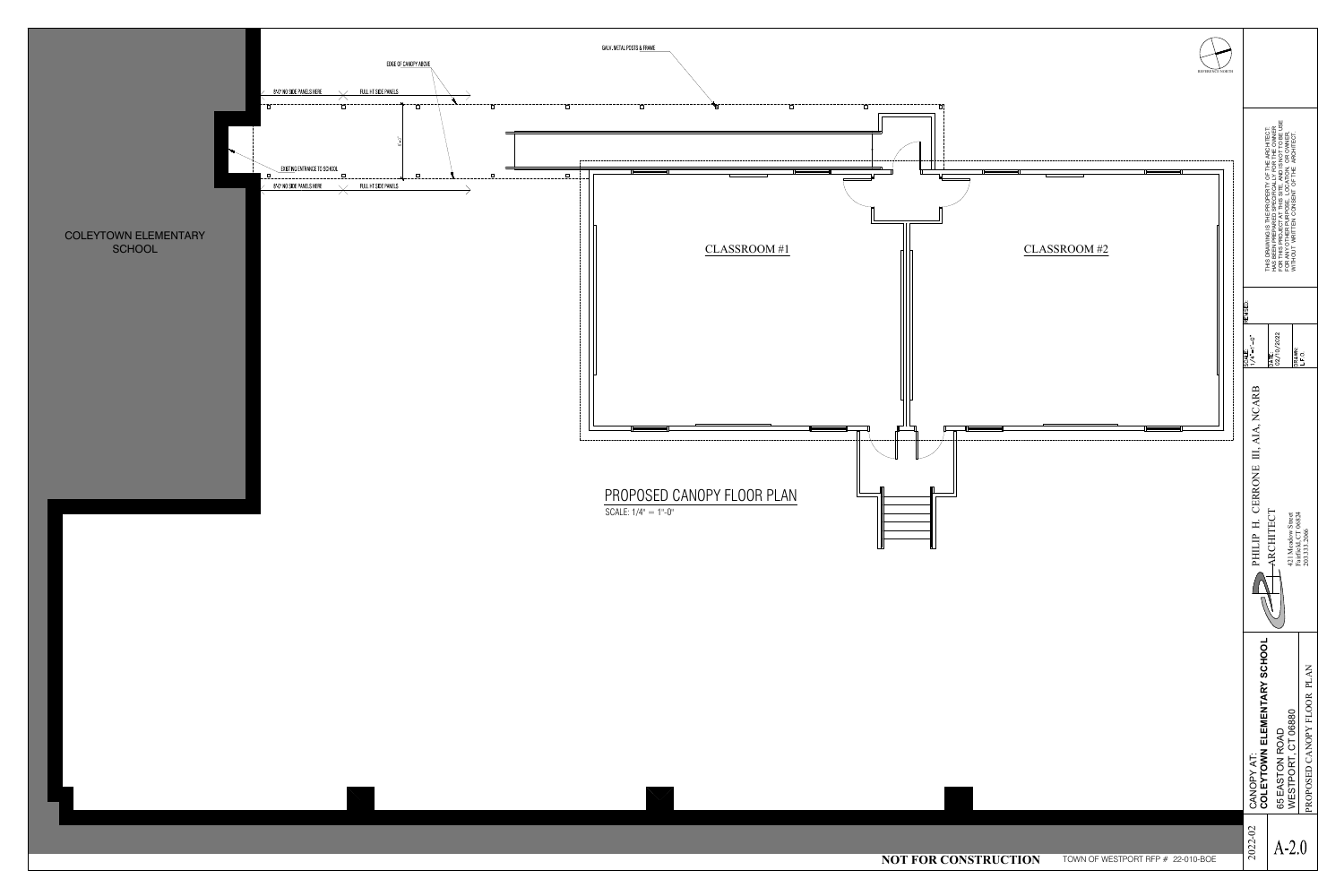

|                                                     | REFERENCE NORTH |                                                                                     |                                                                                                                                                                                                                                            |                                                    |
|-----------------------------------------------------|-----------------|-------------------------------------------------------------------------------------|--------------------------------------------------------------------------------------------------------------------------------------------------------------------------------------------------------------------------------------------|----------------------------------------------------|
| $\bar{\mathbf{a}}$<br>. <u>.</u> .<br>CLASSROOM #2  |                 |                                                                                     | THIS DRAWING IS THE PROPERTY OF THE ARCHITECT:<br>HAS BEEN PREPARED SPECIFICALLY FOR THE OWNER<br>FOR THIS PROJECT AT THIS SITE, AND IS NOT TO BE USE<br>FOR ANY OTHER PURPOSE, LOCATION, OR OWNER,<br>WITHOUT WRITTEN CONSENT OF THE ARCH |                                                    |
|                                                     |                 | REVISED:<br>ငံ<br>SCALE:<br>$1/4" = 1'$                                             | DATE:<br>02/10/2022<br>DRAWN:<br>L.F.O.                                                                                                                                                                                                    |                                                    |
|                                                     |                 | <b>NCARB</b><br>AIA,<br>III,<br>CERRONE<br>$\boldsymbol{\rm H}$<br>PHILIP<br>$\Box$ | ARCHITECT<br>421 Meadow Street<br>Fairfield, CT 06824<br>203.333.2066                                                                                                                                                                      |                                                    |
|                                                     |                 | ENTARY SCHOOL<br>TOWN ELEM<br>ー<br>く<br>CANOPY<br>COLEY                             | 06880<br>65 EASTON ROAD<br>$\overline{C}$<br>$\overline{\phantom{a}}$<br>WESTPORT                                                                                                                                                          | <b>PLAN</b><br>LOOR<br>$\Gamma$<br>PROPOSED CANOPY |
| R CONSTRUCTION<br>TOWN OF WESTPORT RFP # 22-010-BOE |                 | 2022-02                                                                             | $A-2.0$                                                                                                                                                                                                                                    |                                                    |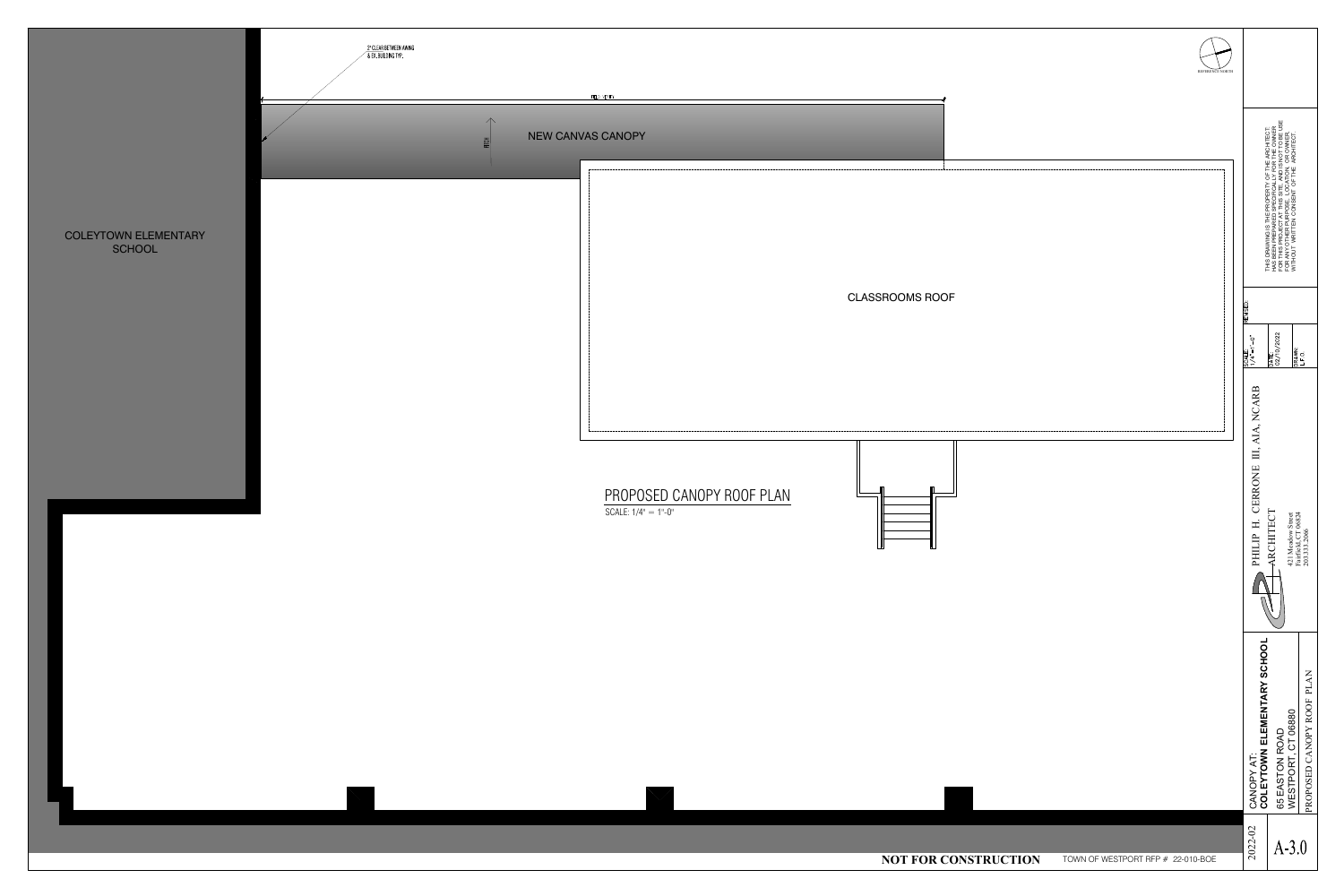### COLEYTOWN ELEMENTARY<br>SCHOOL



|                     | REFERENCE NORTH                   |                                                                                                                               |                                                                                                                                                                                                                                            |                                               |
|---------------------|-----------------------------------|-------------------------------------------------------------------------------------------------------------------------------|--------------------------------------------------------------------------------------------------------------------------------------------------------------------------------------------------------------------------------------------|-----------------------------------------------|
|                     |                                   |                                                                                                                               | THIS DRAWING IS THE PROPERTY OF THE ARCHITECT:<br>HAS BEEN PREPARED SPECIFICALLY FOR THE OWNER<br>FOR THIS PROJECT AT THIS SITE, AND IS NOT TO BE USE<br>FOR ANY OTHER PURPOSE, LOCATION, OR OWNER,<br>WITHOUT WRITTEN CONSENT OF THE ARCH |                                               |
| JOF                 |                                   | REVISED:<br>$\ddot{\circ}$<br>$\frac{\text{SCALE:}}{1/4" = 1'.}$                                                              | $\frac{\overline{DATE:}}{02/10/2022}$<br>DRAWN:<br>L.F.O.                                                                                                                                                                                  |                                               |
|                     |                                   | <b>ARB</b><br>$\sum_{i=1}^{n}$<br>$\bullet$<br>$\blacktriangleleft$<br>$\overline{A}$<br>III,<br>CERRONE<br>H.<br>PHILIP<br>┌ | ARCHITECT<br>421 Meadow Street<br>Fairfield, CT 06824<br>203.333.2066                                                                                                                                                                      |                                               |
|                     |                                   | <b>IENTARY SCHOOL</b><br>OWN ELEN<br>$\overline{A}$<br>CANOPY<br><b>COLEY</b>                                                 | 06880<br><b>ROAD</b><br>$\overline{C}$<br>$\overline{\phantom{a}}$<br>$\sum_{i=1}^{n}$<br>65 EASTON<br>WESTPORT,                                                                                                                           | <b>PLAN</b><br><b>ROOF</b><br>PROPOSED CANOPY |
| <b>CONSTRUCTION</b> | TOWN OF WESTPORT RFP # 22-010-BOE | 2022-02                                                                                                                       | $A-3.0$                                                                                                                                                                                                                                    |                                               |